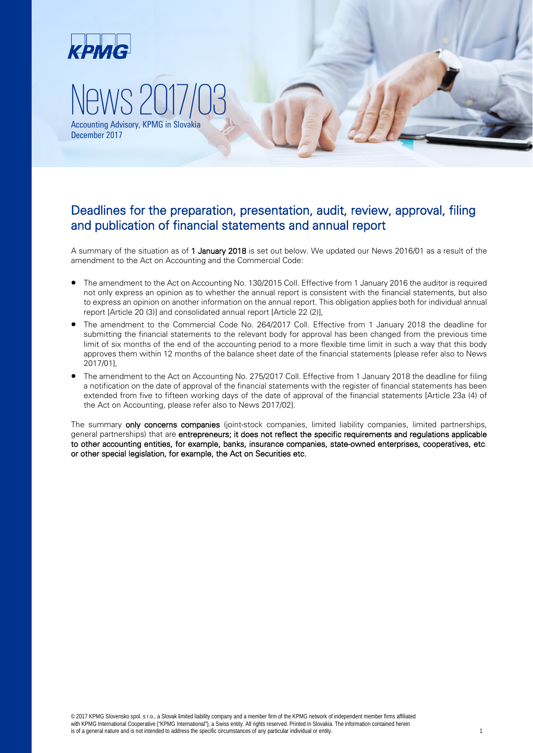

### Deadlines for the preparation, presentation, audit, review, approval, filing and publication of financial statements and annual report

A summary of the situation as of 1 January 2018 is set out below. We updated our News 2016/01 as a result of the amendment to the Act on Accounting and the Commercial Code:

- The amendment to the Act on Accounting No. 130/2015 Coll. Effective from 1 January 2016 the auditor is required not only express an opinion as to whether the annual report is consistent with the financial statements, but also to express an opinion on another information on the annual report. This obligation applies both for individual annual report [Article 20 (3)] and consolidated annual report [Article 22 (2)],
- The amendment to the Commercial Code No. 264/2017 Coll. Effective from 1 January 2018 the deadline for submitting the financial statements to the relevant body for approval has been changed from the previous time limit of six months of the end of the accounting period to a more flexible time limit in such a way that this body approves them within 12 months of the balance sheet date of the financial statements [please refer also to News 2017/01],
- The amendment to the Act on Accounting No. 275/2017 Coll. Effective from 1 January 2018 the deadline for filing a notification on the date of approval of the financial statements with the register of financial statements has been extended from five to fifteen working days of the date of approval of the financial statements [Article 23a (4) of the Act on Accounting, please refer also to News 2017/02].

The summary only concerns companies (joint-stock companies, limited liability companies, limited partnerships, general partnerships) that are entrepreneurs; it does not reflect the specific requirements and regulations applicable to other accounting entities, for example, banks, insurance companies, state-owned enterprises, cooperatives, etc. or other special legislation, for example, the Act on Securities etc.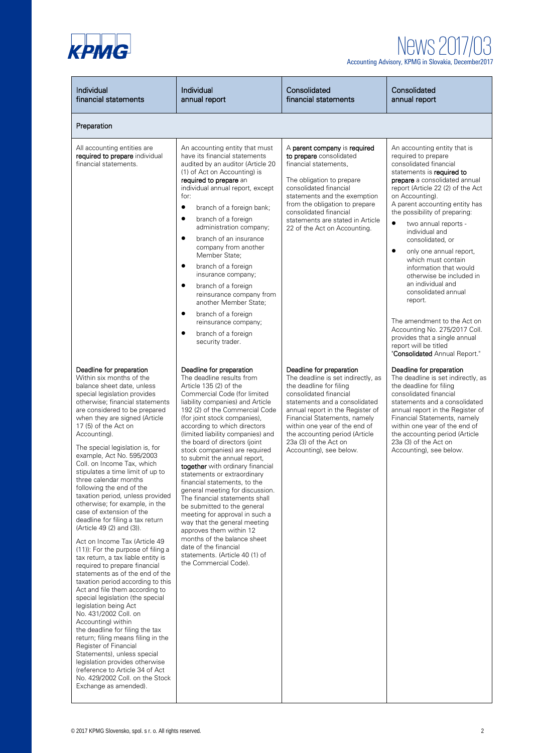

| Individual<br>financial statements                                                                                                                                                                                                                                                                                                                                                                                                                                                                                                                                                                                                                                                                                                                                                                                                                                                                                                                                                                                                                                                                                                                                                                                                                             | Individual<br>annual report                                                                                                                                                                                                                                                                                                                                                                                                                                                                                                                                                                                                                                                                                                                                                                                         | Consolidated<br>financial statements                                                                                                                                                                                                                                                                                                            | Consolidated<br>annual report                                                                                                                                                                                                                                                                                                                                                                                                                                                                                                                                                                                                                                                           |
|----------------------------------------------------------------------------------------------------------------------------------------------------------------------------------------------------------------------------------------------------------------------------------------------------------------------------------------------------------------------------------------------------------------------------------------------------------------------------------------------------------------------------------------------------------------------------------------------------------------------------------------------------------------------------------------------------------------------------------------------------------------------------------------------------------------------------------------------------------------------------------------------------------------------------------------------------------------------------------------------------------------------------------------------------------------------------------------------------------------------------------------------------------------------------------------------------------------------------------------------------------------|---------------------------------------------------------------------------------------------------------------------------------------------------------------------------------------------------------------------------------------------------------------------------------------------------------------------------------------------------------------------------------------------------------------------------------------------------------------------------------------------------------------------------------------------------------------------------------------------------------------------------------------------------------------------------------------------------------------------------------------------------------------------------------------------------------------------|-------------------------------------------------------------------------------------------------------------------------------------------------------------------------------------------------------------------------------------------------------------------------------------------------------------------------------------------------|-----------------------------------------------------------------------------------------------------------------------------------------------------------------------------------------------------------------------------------------------------------------------------------------------------------------------------------------------------------------------------------------------------------------------------------------------------------------------------------------------------------------------------------------------------------------------------------------------------------------------------------------------------------------------------------------|
| Preparation                                                                                                                                                                                                                                                                                                                                                                                                                                                                                                                                                                                                                                                                                                                                                                                                                                                                                                                                                                                                                                                                                                                                                                                                                                                    |                                                                                                                                                                                                                                                                                                                                                                                                                                                                                                                                                                                                                                                                                                                                                                                                                     |                                                                                                                                                                                                                                                                                                                                                 |                                                                                                                                                                                                                                                                                                                                                                                                                                                                                                                                                                                                                                                                                         |
| All accounting entities are<br>required to prepare individual<br>financial statements.                                                                                                                                                                                                                                                                                                                                                                                                                                                                                                                                                                                                                                                                                                                                                                                                                                                                                                                                                                                                                                                                                                                                                                         | An accounting entity that must<br>have its financial statements<br>audited by an auditor (Article 20<br>(1) of Act on Accounting) is<br>required to prepare an<br>individual annual report, except<br>for:<br>$\bullet$<br>branch of a foreign bank;<br>$\bullet$<br>branch of a foreign<br>administration company;<br>$\bullet$<br>branch of an insurance<br>company from another<br>Member State:<br>$\bullet$<br>branch of a foreign<br>insurance company;<br>$\bullet$<br>branch of a foreign<br>reinsurance company from<br>another Member State;<br>$\bullet$<br>branch of a foreign<br>reinsurance company;<br>$\bullet$<br>branch of a foreign<br>security trader.                                                                                                                                          | A parent company is required<br>to prepare consolidated<br>financial statements.<br>The obligation to prepare<br>consolidated financial<br>statements and the exemption<br>from the obligation to prepare<br>consolidated financial<br>statements are stated in Article<br>22 of the Act on Accounting.                                         | An accounting entity that is<br>required to prepare<br>consolidated financial<br>statements is required to<br>prepare a consolidated annual<br>report (Article 22 (2) of the Act<br>on Accounting).<br>A parent accounting entity has<br>the possibility of preparing:<br>$\bullet$<br>two annual reports -<br>individual and<br>consolidated, or<br>$\bullet$<br>only one annual report,<br>which must contain<br>information that would<br>otherwise be included in<br>an individual and<br>consolidated annual<br>report.<br>The amendment to the Act on<br>Accounting No. 275/2017 Coll.<br>provides that a single annual<br>report will be titled<br>"Consolidated Annual Report." |
| Deadline for preparation<br>Within six months of the<br>balance sheet date, unless<br>special legislation provides<br>otherwise; financial statements<br>are considered to be prepared<br>when they are signed (Article<br>17 (5) of the Act on<br>Accounting).<br>The special legislation is, for<br>example, Act No. 595/2003<br>Coll. on Income Tax, which<br>stipulates a time limit of up to<br>three calendar months<br>following the end of the<br>taxation period, unless provided<br>otherwise; for example, in the<br>case of extension of the<br>deadline for filing a tax return<br>(Article 49 (2) and (3)).<br>Act on Income Tax (Article 49<br>(11): For the purpose of filing a<br>tax return, a tax liable entity is<br>required to prepare financial<br>statements as of the end of the<br>taxation period according to this<br>Act and file them according to<br>special legislation (the special<br>legislation being Act<br>No. 431/2002 Coll. on<br>Accounting) within<br>the deadline for filing the tax<br>return; filing means filing in the<br>Register of Financial<br>Statements), unless special<br>legislation provides otherwise<br>(reference to Article 34 of Act<br>No. 429/2002 Coll. on the Stock<br>Exchange as amended). | Deadline for preparation<br>The deadline results from<br>Article 135 (2) of the<br>Commercial Code (for limited<br>liability companies) and Article<br>192 (2) of the Commercial Code<br>(for joint stock companies),<br>according to which directors<br>(limited liability companies) and<br>the board of directors (joint<br>stock companies) are required<br>to submit the annual report,<br>together with ordinary financial<br>statements or extraordinary<br>financial statements, to the<br>general meeting for discussion.<br>The financial statements shall<br>be submitted to the general<br>meeting for approval in such a<br>way that the general meeting<br>approves them within 12<br>months of the balance sheet<br>date of the financial<br>statements. (Article 40 (1) of<br>the Commercial Code). | Deadline for preparation<br>The deadline is set indirectly, as<br>the deadline for filing<br>consolidated financial<br>statements and a consolidated<br>annual report in the Register of<br>Financial Statements, namely<br>within one year of the end of<br>the accounting period (Article<br>23a (3) of the Act on<br>Accounting), see below. | Deadline for preparation<br>The deadline is set indirectly, as<br>the deadline for filing<br>consolidated financial<br>statements and a consolidated<br>annual report in the Register of<br>Financial Statements, namely<br>within one year of the end of<br>the accounting period (Article<br>23a (3) of the Act on<br>Accounting), see below.                                                                                                                                                                                                                                                                                                                                         |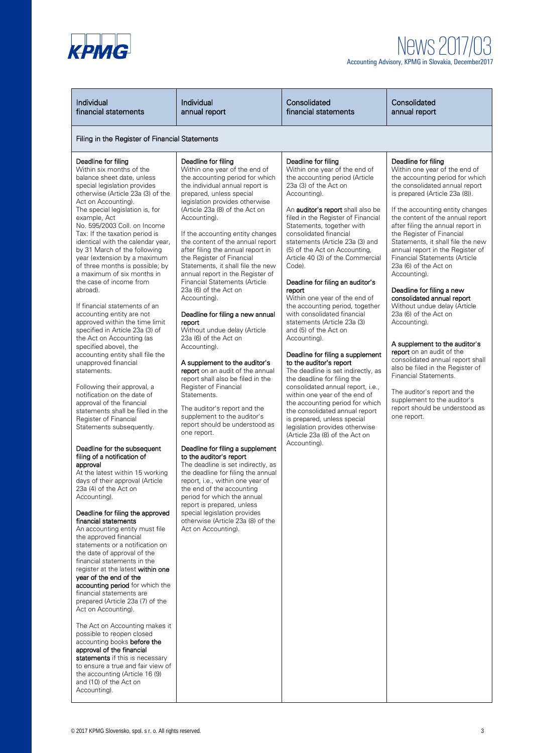

## News2017/03 Accounting Advisory, KPMG in Slovakia, December2017

| Individual<br>financial statements                                                                                                                                                                                                                                                                                                                                                                                                                                                                                                                                                                                                                                                                                                                                                                                                                                                                                                                                                                                                                                                                                                                                                                                                                                                                                                                                                                                                                                                                                                                                                                                                                                                                                                                                                                                                            | Individual<br>annual report                                                                                                                                                                                                                                                                                                                                                                                                                                                                                                                                                                                                                                                                                                                                                                                                                                                                                                                                                                                                                                                                                                                                                                                                                                                                                  | Consolidated<br>financial statements                                                                                                                                                                                                                                                                                                                                                                                                                                                                                                                                                                                                                                                                                                                                                                                                                                                                                                                                                                           | Consolidated<br>annual report                                                                                                                                                                                                                                                                                                                                                                                                                                                                                                                                                                                                                                                                                                                                                                                                                                                      |
|-----------------------------------------------------------------------------------------------------------------------------------------------------------------------------------------------------------------------------------------------------------------------------------------------------------------------------------------------------------------------------------------------------------------------------------------------------------------------------------------------------------------------------------------------------------------------------------------------------------------------------------------------------------------------------------------------------------------------------------------------------------------------------------------------------------------------------------------------------------------------------------------------------------------------------------------------------------------------------------------------------------------------------------------------------------------------------------------------------------------------------------------------------------------------------------------------------------------------------------------------------------------------------------------------------------------------------------------------------------------------------------------------------------------------------------------------------------------------------------------------------------------------------------------------------------------------------------------------------------------------------------------------------------------------------------------------------------------------------------------------------------------------------------------------------------------------------------------------|--------------------------------------------------------------------------------------------------------------------------------------------------------------------------------------------------------------------------------------------------------------------------------------------------------------------------------------------------------------------------------------------------------------------------------------------------------------------------------------------------------------------------------------------------------------------------------------------------------------------------------------------------------------------------------------------------------------------------------------------------------------------------------------------------------------------------------------------------------------------------------------------------------------------------------------------------------------------------------------------------------------------------------------------------------------------------------------------------------------------------------------------------------------------------------------------------------------------------------------------------------------------------------------------------------------|----------------------------------------------------------------------------------------------------------------------------------------------------------------------------------------------------------------------------------------------------------------------------------------------------------------------------------------------------------------------------------------------------------------------------------------------------------------------------------------------------------------------------------------------------------------------------------------------------------------------------------------------------------------------------------------------------------------------------------------------------------------------------------------------------------------------------------------------------------------------------------------------------------------------------------------------------------------------------------------------------------------|------------------------------------------------------------------------------------------------------------------------------------------------------------------------------------------------------------------------------------------------------------------------------------------------------------------------------------------------------------------------------------------------------------------------------------------------------------------------------------------------------------------------------------------------------------------------------------------------------------------------------------------------------------------------------------------------------------------------------------------------------------------------------------------------------------------------------------------------------------------------------------|
| Filing in the Register of Financial Statements                                                                                                                                                                                                                                                                                                                                                                                                                                                                                                                                                                                                                                                                                                                                                                                                                                                                                                                                                                                                                                                                                                                                                                                                                                                                                                                                                                                                                                                                                                                                                                                                                                                                                                                                                                                                |                                                                                                                                                                                                                                                                                                                                                                                                                                                                                                                                                                                                                                                                                                                                                                                                                                                                                                                                                                                                                                                                                                                                                                                                                                                                                                              |                                                                                                                                                                                                                                                                                                                                                                                                                                                                                                                                                                                                                                                                                                                                                                                                                                                                                                                                                                                                                |                                                                                                                                                                                                                                                                                                                                                                                                                                                                                                                                                                                                                                                                                                                                                                                                                                                                                    |
| Deadline for filing<br>Within six months of the<br>balance sheet date, unless<br>special legislation provides<br>otherwise (Article 23a (3) of the<br>Act on Accounting).<br>The special legislation is, for<br>example, Act<br>No. 595/2003 Coll. on Income<br>Tax: If the taxation period is<br>identical with the calendar year,<br>by 31 March of the following<br>year (extension by a maximum<br>of three months is possible; by<br>a maximum of six months in<br>the case of income from<br>abroad).<br>If financial statements of an<br>accounting entity are not<br>approved within the time limit<br>specified in Article 23a (3) of<br>the Act on Accounting (as<br>specified above), the<br>accounting entity shall file the<br>unapproved financial<br>statements.<br>Following their approval, a<br>notification on the date of<br>approval of the financial<br>statements shall be filed in the<br>Register of Financial<br>Statements subsequently.<br>Deadline for the subsequent<br>filing of a notification of<br>approval<br>At the latest within 15 working<br>days of their approval (Article<br>23a (4) of the Act on<br>Accounting).<br>Deadline for filing the approved<br>financial statements<br>An accounting entity must file<br>the approved financial<br>statements or a notification on<br>the date of approval of the<br>financial statements in the<br>register at the latest within one<br>year of the end of the<br>accounting period for which the<br>financial statements are<br>prepared (Article 23a (7) of the<br>Act on Accounting).<br>The Act on Accounting makes it<br>possible to reopen closed<br>accounting books before the<br>approval of the financial<br>statements if this is necessary<br>to ensure a true and fair view of<br>the accounting (Article 16 (9)<br>and (10) of the Act on | Deadline for filing<br>Within one year of the end of<br>the accounting period for which<br>the individual annual report is<br>prepared, unless special<br>legislation provides otherwise<br>(Article 23a (8) of the Act on<br>Accounting).<br>If the accounting entity changes<br>the content of the annual report<br>after filing the annual report in<br>the Register of Financial<br>Statements, it shall file the new<br>annual report in the Register of<br><b>Financial Statements (Article</b><br>23a (6) of the Act on<br>Accounting).<br>Deadline for filing a new annual<br>report<br>Without undue delay (Article<br>23a (6) of the Act on<br>Accounting).<br>A supplement to the auditor's<br>report on an audit of the annual<br>report shall also be filed in the<br>Register of Financial<br>Statements.<br>The auditor's report and the<br>supplement to the auditor's<br>report should be understood as<br>one report.<br>Deadline for filing a supplement<br>to the auditor's report<br>The deadline is set indirectly, as<br>the deadline for filing the annual<br>report, i.e., within one year of<br>the end of the accounting<br>period for which the annual<br>report is prepared, unless<br>special legislation provides<br>otherwise (Article 23a (8) of the<br>Act on Accounting). | Deadline for filing<br>Within one year of the end of<br>the accounting period (Article<br>23a (3) of the Act on<br>Accounting).<br>An auditor's report shall also be<br>filed in the Register of Financial<br>Statements, together with<br>consolidated financial<br>statements (Article 23a (3) and<br>(5) of the Act on Accounting,<br>Article 40 (3) of the Commercial<br>Code).<br>Deadline for filing an auditor's<br>report<br>Within one year of the end of<br>the accounting period, together<br>with consolidated financial<br>statements (Article 23a (3)<br>and (5) of the Act on<br>Accounting).<br>Deadline for filing a supplement<br>to the auditor's report<br>The deadline is set indirectly, as<br>the deadline for filing the<br>consolidated annual report, i.e.,<br>within one year of the end of<br>the accounting period for which<br>the consolidated annual report<br>is prepared, unless special<br>legislation provides otherwise<br>(Article 23a (8) of the Act on<br>Accounting). | Deadline for filing<br>Within one year of the end of<br>the accounting period for which<br>the consolidated annual report<br>is prepared (Article 23a (8)).<br>If the accounting entity changes<br>the content of the annual report<br>after filing the annual report in<br>the Register of Financial<br>Statements, it shall file the new<br>annual report in the Register of<br><b>Financial Statements (Article</b><br>23a (6) of the Act on<br>Accounting).<br>Deadline for filing a new<br>consolidated annual report<br>Without undue delay (Article<br>23a (6) of the Act on<br>Accounting).<br>A supplement to the auditor's<br>report on an audit of the<br>consolidated annual report shall<br>also be filed in the Register of<br>Financial Statements.<br>The auditor's report and the<br>supplement to the auditor's<br>report should be understood as<br>one report. |

Accounting).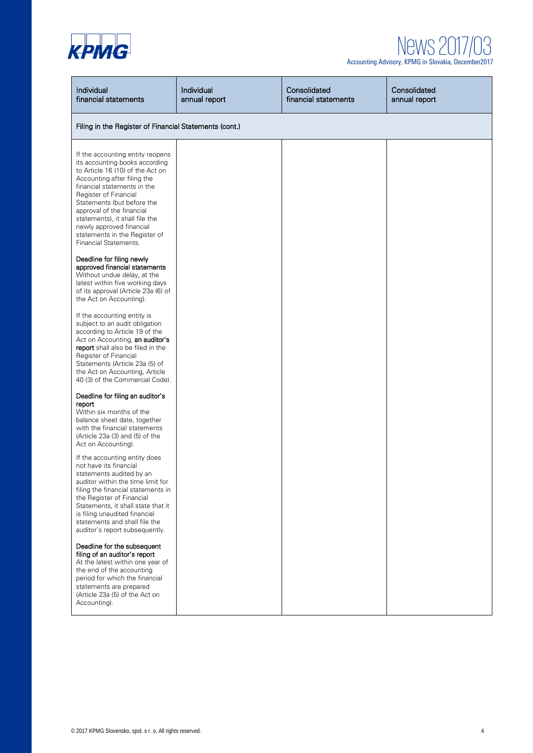

| Individual<br>financial statements                                                                                                                                                                                                                                                                                                                                               | Individual<br>annual report | Consolidated<br>financial statements | Consolidated<br>annual report |
|----------------------------------------------------------------------------------------------------------------------------------------------------------------------------------------------------------------------------------------------------------------------------------------------------------------------------------------------------------------------------------|-----------------------------|--------------------------------------|-------------------------------|
| Filing in the Register of Financial Statements (cont.)                                                                                                                                                                                                                                                                                                                           |                             |                                      |                               |
| If the accounting entity reopens<br>its accounting books according<br>to Article 16 (10) of the Act on<br>Accounting after filing the<br>financial statements in the<br>Register of Financial<br>Statements (but before the<br>approval of the financial<br>statements), it shall file the<br>newly approved financial<br>statements in the Register of<br>Financial Statements. |                             |                                      |                               |
| Deadline for filing newly<br>approved financial statements<br>Without undue delay, at the<br>latest within five working days<br>of its approval (Article 23a (6) of<br>the Act on Accounting).                                                                                                                                                                                   |                             |                                      |                               |
| If the accounting entity is<br>subject to an audit obligation<br>according to Article 19 of the<br>Act on Accounting, an auditor's<br>report shall also be filed in the<br>Register of Financial<br>Statements (Article 23a (5) of<br>the Act on Accounting, Article<br>40 (3) of the Commercial Code).                                                                          |                             |                                      |                               |
| Deadline for filing an auditor's<br>report<br>Within six months of the<br>balance sheet date, together<br>with the financial statements<br>(Article 23a (3) and (5) of the<br>Act on Accounting).                                                                                                                                                                                |                             |                                      |                               |
| If the accounting entity does<br>not have its financial<br>statements audited by an<br>auditor within the time limit for<br>filing the financial statements in<br>the Register of Financial<br>Statements, it shall state that it<br>is filing unaudited financial<br>statements and shall file the<br>auditor's report subsequently.                                            |                             |                                      |                               |
| Deadline for the subsequent<br>filing of an auditor's report<br>At the latest within one year of<br>the end of the accounting<br>period for which the financial<br>statements are prepared<br>(Article 23a (5) of the Act on<br>Accounting).                                                                                                                                     |                             |                                      |                               |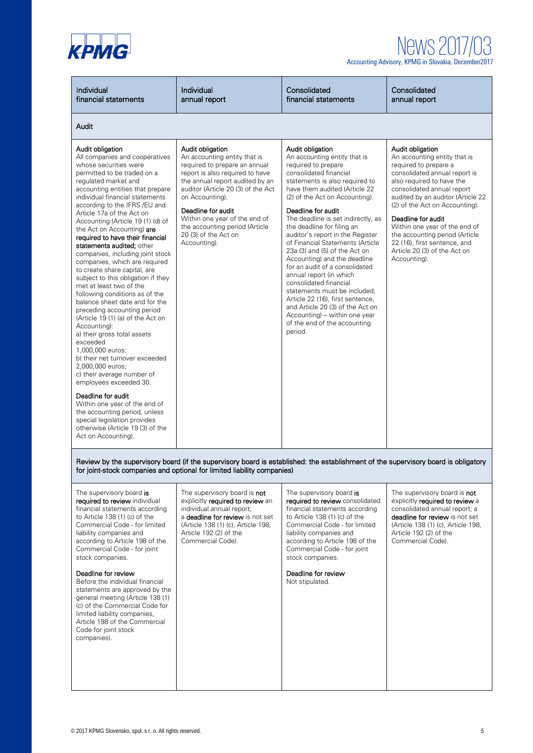

## News 201 Accounting Advisory, KPMG in Slovakia, December2017

Individual financial statements Individual annual report **Consolidated** financial statements **Consolidated** annual report Audit Audit obligation All companies and cooperatives whose securities were permitted to be traded on a regulated market and accounting entities that prepare individual financial statements according to the IFRS /EU and Article 17a of the Act on Accounting (Article 19 (1) (d) of the Act on Accounting) are required to have their financial statements audited; other companies, including joint stock companies, which are required to create share capital, are subject to this obligation if they met at least two of the following conditions as of the balance sheet date and for the preceding accounting period (Article 19 (1) (a) of the Act on Accounting): a) their gross total assets exceeded 1,000,000 euros; b) their net turnover exceeded 2,000,000 euros; c) their average number of employees exceeded 30. Deadline for audit Within one year of the end of the accounting period, unless special legislation provides otherwise (Article 19 (3) of the Act on Accounting). Audit obligation An accounting entity that is required to prepare an annual report is also required to have the annual report audited by an auditor (Article 20 (3) of the Act on Accounting). Deadline for audit Within one year of the end of the accounting period (Article 20 (3) of the Act on Accounting). Audit obligation An accounting entity that is required to prepare consolidated financial statements is also required to have them audited (Article 22 (2) of the Act on Accounting). Deadline for audit The deadline is set indirectly, as the deadline for filing an auditor's report in the Register of Financial Statements (Article 23a (3) and (5) of the Act on Accounting) and the deadline for an audit of a consolidated annual report (in which consolidated financial statements must be included; Article 22 (16), first sentence, and Article 20 (3) of the Act on Accounting) – within one year of the end of the accounting period. Audit obligation An accounting entity that is required to prepare a consolidated annual report is also required to have the consolidated annual report audited by an auditor (Article 22 (2) of the Act on Accounting). Deadline for audit Within one year of the end of the accounting period (Article 22 (16), first sentence, and Article 20 (3) of the Act on Accounting).

#### Review by the supervisory board (if the supervisory board is established: the establishment of the supervisory board is obligatory for joint-stock companies and optional for limited liability companies)

The supervisory board is required to review individual financial statements according to Article 138 (1) (c) of the Commercial Code - for limited liability companies and according to Article 198 of the Commercial Code - for joint stock companies.

#### Deadline for review

Before the individual financial statements are approved by the general meeting (Article 138 (1) (c) of the Commercial Code for limited liability companies, Article 198 of the Commercial Code for joint stock companies).

The supervisory board is not explicitly required to review an individual annual report; a deadline for review is not set (Article 138 (1) (c), Article 198, Article 192 (2) of the Commercial Code).

#### The supervisory board is required to review consolidated financial statements according

to Article 138 (1) (c) of the Commercial Code - for limited liability companies and according to Article 198 of the Commercial Code - for joint stock companies.

Deadline for review Not stipulated.

The supervisory board is not explicitly required to review a consolidated annual report; a deadline for review is not set (Article 138 (1) (c), Article 198, Article 192 (2) of the Commercial Code).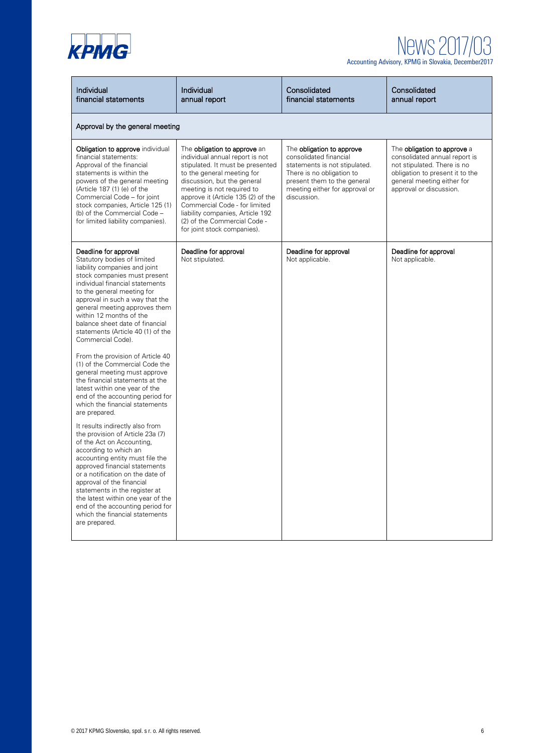

| Individual<br>financial statements                                                                                                                                                                                                                                                                                                                                                                                          | Individual<br>annual report                                                                                                                                                                                                                                                                                                                                              | Consolidated<br>financial statements                                                                                                                                                              | Consolidated<br>annual report                                                                                                                                                           |
|-----------------------------------------------------------------------------------------------------------------------------------------------------------------------------------------------------------------------------------------------------------------------------------------------------------------------------------------------------------------------------------------------------------------------------|--------------------------------------------------------------------------------------------------------------------------------------------------------------------------------------------------------------------------------------------------------------------------------------------------------------------------------------------------------------------------|---------------------------------------------------------------------------------------------------------------------------------------------------------------------------------------------------|-----------------------------------------------------------------------------------------------------------------------------------------------------------------------------------------|
| Approval by the general meeting                                                                                                                                                                                                                                                                                                                                                                                             |                                                                                                                                                                                                                                                                                                                                                                          |                                                                                                                                                                                                   |                                                                                                                                                                                         |
| Obligation to approve individual<br>financial statements:<br>Approval of the financial<br>statements is within the<br>powers of the general meeting<br>(Article 187 (1) (e) of the<br>Commercial Code - for joint<br>stock companies, Article 125 (1)<br>(b) of the Commercial Code -<br>for limited liability companies).                                                                                                  | The obligation to approve an<br>individual annual report is not<br>stipulated. It must be presented<br>to the general meeting for<br>discussion, but the general<br>meeting is not required to<br>approve it (Article 135 (2) of the<br>Commercial Code - for limited<br>liability companies, Article 192<br>(2) of the Commercial Code -<br>for joint stock companies). | The obligation to approve<br>consolidated financial<br>statements is not stipulated.<br>There is no obligation to<br>present them to the general<br>meeting either for approval or<br>discussion. | The obligation to approve a<br>consolidated annual report is<br>not stipulated. There is no<br>obligation to present it to the<br>general meeting either for<br>approval or discussion. |
| Deadline for approval<br>Statutory bodies of limited<br>liability companies and joint<br>stock companies must present<br>individual financial statements<br>to the general meeting for<br>approval in such a way that the<br>general meeting approves them<br>within 12 months of the<br>balance sheet date of financial<br>statements (Article 40 (1) of the<br>Commercial Code).                                          | Deadline for approval<br>Not stipulated.                                                                                                                                                                                                                                                                                                                                 | Deadline for approval<br>Not applicable.                                                                                                                                                          | Deadline for approval<br>Not applicable.                                                                                                                                                |
| From the provision of Article 40<br>(1) of the Commercial Code the<br>general meeting must approve<br>the financial statements at the<br>latest within one year of the<br>end of the accounting period for<br>which the financial statements<br>are prepared.                                                                                                                                                               |                                                                                                                                                                                                                                                                                                                                                                          |                                                                                                                                                                                                   |                                                                                                                                                                                         |
| It results indirectly also from<br>the provision of Article 23a (7)<br>of the Act on Accounting,<br>according to which an<br>accounting entity must file the<br>approved financial statements<br>or a notification on the date of<br>approval of the financial<br>statements in the register at<br>the latest within one year of the<br>end of the accounting period for<br>which the financial statements<br>are prepared. |                                                                                                                                                                                                                                                                                                                                                                          |                                                                                                                                                                                                   |                                                                                                                                                                                         |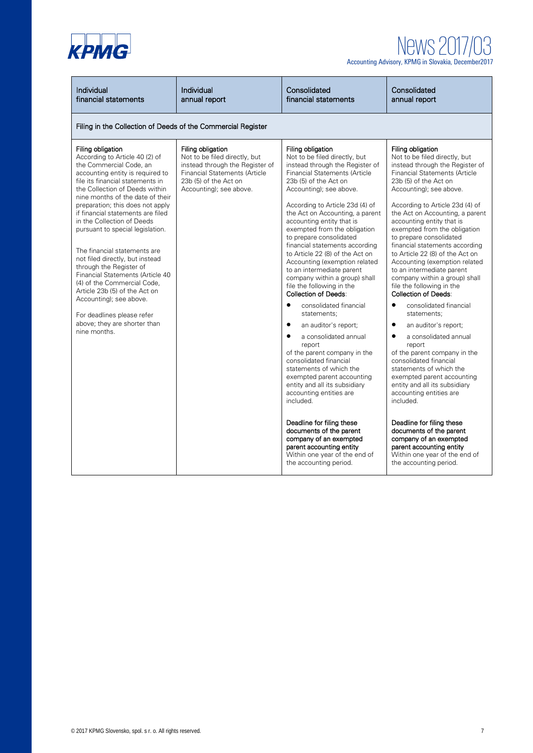

| Individual<br>financial statements                                                                                                                                                                                                                                                                                                                                                                                                                                                                                                                                                                                                                                                 | Individual<br>annual report                                                                                                                                                       | Consolidated<br>financial statements                                                                                                                                                                                                                                                                                                                                                                                                                                                                                                                                                                                                                                                                                                                                                                                                                                                                                                                                                                                                                                                            | Consolidated<br>annual report                                                                                                                                                                                                                                                                                                                                                                                                                                                                                                                                                                                                                                                                                                                                                                                                                                                                                                                                                                                                                                                                   |  |
|------------------------------------------------------------------------------------------------------------------------------------------------------------------------------------------------------------------------------------------------------------------------------------------------------------------------------------------------------------------------------------------------------------------------------------------------------------------------------------------------------------------------------------------------------------------------------------------------------------------------------------------------------------------------------------|-----------------------------------------------------------------------------------------------------------------------------------------------------------------------------------|-------------------------------------------------------------------------------------------------------------------------------------------------------------------------------------------------------------------------------------------------------------------------------------------------------------------------------------------------------------------------------------------------------------------------------------------------------------------------------------------------------------------------------------------------------------------------------------------------------------------------------------------------------------------------------------------------------------------------------------------------------------------------------------------------------------------------------------------------------------------------------------------------------------------------------------------------------------------------------------------------------------------------------------------------------------------------------------------------|-------------------------------------------------------------------------------------------------------------------------------------------------------------------------------------------------------------------------------------------------------------------------------------------------------------------------------------------------------------------------------------------------------------------------------------------------------------------------------------------------------------------------------------------------------------------------------------------------------------------------------------------------------------------------------------------------------------------------------------------------------------------------------------------------------------------------------------------------------------------------------------------------------------------------------------------------------------------------------------------------------------------------------------------------------------------------------------------------|--|
|                                                                                                                                                                                                                                                                                                                                                                                                                                                                                                                                                                                                                                                                                    | Filing in the Collection of Deeds of the Commercial Register                                                                                                                      |                                                                                                                                                                                                                                                                                                                                                                                                                                                                                                                                                                                                                                                                                                                                                                                                                                                                                                                                                                                                                                                                                                 |                                                                                                                                                                                                                                                                                                                                                                                                                                                                                                                                                                                                                                                                                                                                                                                                                                                                                                                                                                                                                                                                                                 |  |
| Filing obligation<br>According to Article 40 (2) of<br>the Commercial Code, an<br>accounting entity is required to<br>file its financial statements in<br>the Collection of Deeds within<br>nine months of the date of their<br>preparation; this does not apply<br>if financial statements are filed<br>in the Collection of Deeds<br>pursuant to special legislation.<br>The financial statements are<br>not filed directly, but instead<br>through the Register of<br>Financial Statements (Article 40<br>(4) of the Commercial Code.<br>Article 23b (5) of the Act on<br>Accounting); see above.<br>For deadlines please refer<br>above; they are shorter than<br>nine months. | Filing obligation<br>Not to be filed directly, but<br>instead through the Register of<br><b>Financial Statements (Article</b><br>23b (5) of the Act on<br>Accounting); see above. | Filing obligation<br>Not to be filed directly, but<br>instead through the Register of<br><b>Financial Statements (Article</b><br>23b (5) of the Act on<br>Accounting); see above.<br>According to Article 23d (4) of<br>the Act on Accounting, a parent<br>accounting entity that is<br>exempted from the obligation<br>to prepare consolidated<br>financial statements according<br>to Article 22 (8) of the Act on<br>Accounting (exemption related<br>to an intermediate parent<br>company within a group) shall<br>file the following in the<br><b>Collection of Deeds:</b><br>$\bullet$<br>consolidated financial<br>statements;<br>$\bullet$<br>an auditor's report;<br>$\bullet$<br>a consolidated annual<br>report<br>of the parent company in the<br>consolidated financial<br>statements of which the<br>exempted parent accounting<br>entity and all its subsidiary<br>accounting entities are<br>included.<br>Deadline for filing these<br>documents of the parent<br>company of an exempted<br>parent accounting entity<br>Within one year of the end of<br>the accounting period. | Filing obligation<br>Not to be filed directly, but<br>instead through the Register of<br><b>Financial Statements (Article</b><br>23b (5) of the Act on<br>Accounting); see above.<br>According to Article 23d (4) of<br>the Act on Accounting, a parent<br>accounting entity that is<br>exempted from the obligation<br>to prepare consolidated<br>financial statements according<br>to Article 22 (8) of the Act on<br>Accounting (exemption related<br>to an intermediate parent<br>company within a group) shall<br>file the following in the<br><b>Collection of Deeds:</b><br>consolidated financial<br>$\bullet$<br>statements:<br>$\bullet$<br>an auditor's report;<br>$\bullet$<br>a consolidated annual<br>report<br>of the parent company in the<br>consolidated financial<br>statements of which the<br>exempted parent accounting<br>entity and all its subsidiary<br>accounting entities are<br>included.<br>Deadline for filing these<br>documents of the parent<br>company of an exempted<br>parent accounting entity<br>Within one year of the end of<br>the accounting period. |  |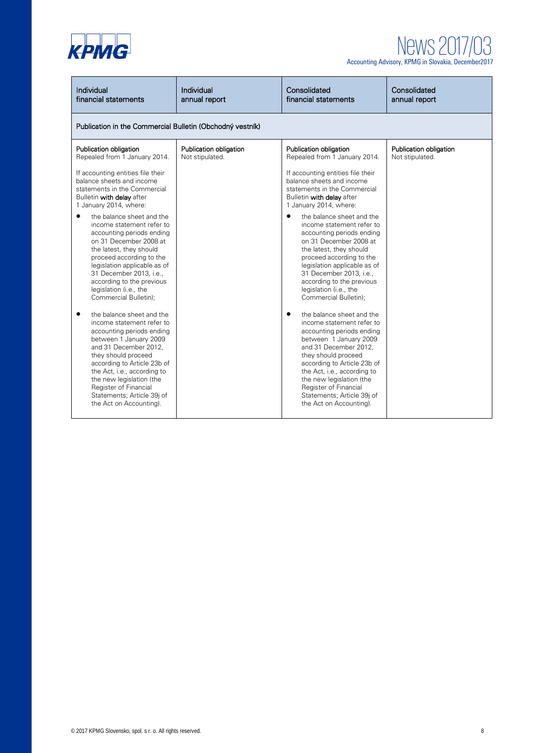

| Individual<br>financial statements                                                                                                                                                                                                                                                                                                                                                                                                                                                                                                                                                                                                                                                                                                                                                                                                                                                    | Individual<br>annual report                               | Consolidated<br>financial statements                                                                                                                                                                                                                                                                                                                                                                                                                                                                                                                                                                                                                                                                                                                                                                                                                                                          | Consolidated<br>annual report             |
|---------------------------------------------------------------------------------------------------------------------------------------------------------------------------------------------------------------------------------------------------------------------------------------------------------------------------------------------------------------------------------------------------------------------------------------------------------------------------------------------------------------------------------------------------------------------------------------------------------------------------------------------------------------------------------------------------------------------------------------------------------------------------------------------------------------------------------------------------------------------------------------|-----------------------------------------------------------|-----------------------------------------------------------------------------------------------------------------------------------------------------------------------------------------------------------------------------------------------------------------------------------------------------------------------------------------------------------------------------------------------------------------------------------------------------------------------------------------------------------------------------------------------------------------------------------------------------------------------------------------------------------------------------------------------------------------------------------------------------------------------------------------------------------------------------------------------------------------------------------------------|-------------------------------------------|
|                                                                                                                                                                                                                                                                                                                                                                                                                                                                                                                                                                                                                                                                                                                                                                                                                                                                                       | Publication in the Commercial Bulletin (Obchodný vestník) |                                                                                                                                                                                                                                                                                                                                                                                                                                                                                                                                                                                                                                                                                                                                                                                                                                                                                               |                                           |
| Publication obligation<br>Repealed from 1 January 2014.<br>If accounting entities file their<br>balance sheets and income<br>statements in the Commercial<br>Bulletin with delay after<br>1 January 2014, where:<br>the balance sheet and the<br>٠<br>income statement refer to<br>accounting periods ending<br>on 31 December 2008 at<br>the latest, they should<br>proceed according to the<br>legislation applicable as of<br>31 December 2013, i.e.,<br>according to the previous<br>legislation (i.e., the<br>Commercial Bulletin);<br>the balance sheet and the<br>income statement refer to<br>accounting periods ending<br>between 1 January 2009<br>and 31 December 2012,<br>they should proceed<br>according to Article 23b of<br>the Act, i.e., according to<br>the new legislation (the<br>Register of Financial<br>Statements; Article 39j of<br>the Act on Accounting). | Publication obligation<br>Not stipulated.                 | Publication obligation<br>Repealed from 1 January 2014.<br>If accounting entities file their<br>balance sheets and income<br>statements in the Commercial<br>Bulletin with delay after<br>1 January 2014, where:<br>the balance sheet and the<br>$\bullet$<br>income statement refer to<br>accounting periods ending<br>on 31 December 2008 at<br>the latest, they should<br>proceed according to the<br>legislation applicable as of<br>31 December 2013, i.e.,<br>according to the previous<br>legislation (i.e., the<br>Commercial Bulletin);<br>the balance sheet and the<br>income statement refer to<br>accounting periods ending<br>between 1 January 2009<br>and 31 December 2012,<br>they should proceed<br>according to Article 23b of<br>the Act, i.e., according to<br>the new legislation (the<br>Register of Financial<br>Statements; Article 39j of<br>the Act on Accounting). | Publication obligation<br>Not stipulated. |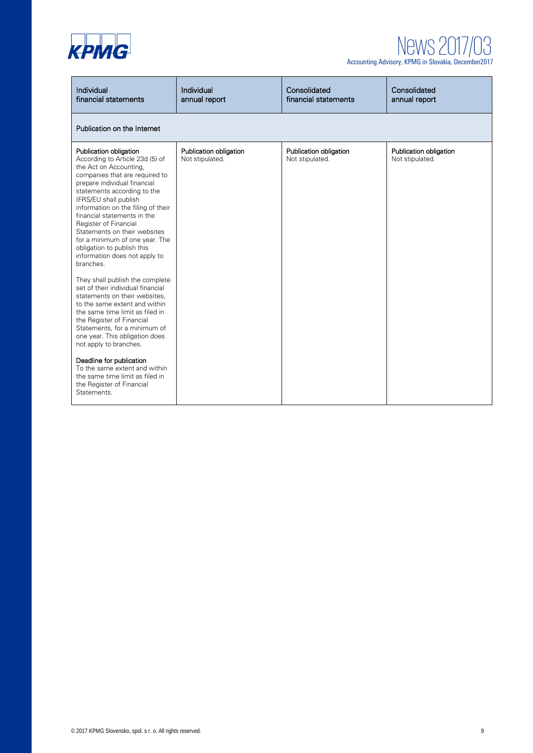

| Individual<br>financial statements                                                                                                                                                                                                                                                                                                                                                                                                                                                                                                                                                                                                                                                                                                                              | Individual<br>annual report               | Consolidated<br>financial statements      | Consolidated<br>annual report             |
|-----------------------------------------------------------------------------------------------------------------------------------------------------------------------------------------------------------------------------------------------------------------------------------------------------------------------------------------------------------------------------------------------------------------------------------------------------------------------------------------------------------------------------------------------------------------------------------------------------------------------------------------------------------------------------------------------------------------------------------------------------------------|-------------------------------------------|-------------------------------------------|-------------------------------------------|
| Publication on the Internet                                                                                                                                                                                                                                                                                                                                                                                                                                                                                                                                                                                                                                                                                                                                     |                                           |                                           |                                           |
| Publication obligation<br>According to Article 23d (5) of<br>the Act on Accounting,<br>companies that are required to<br>prepare individual financial<br>statements according to the<br>IFRS/EU shall publish<br>information on the filing of their<br>financial statements in the<br>Register of Financial<br>Statements on their websites<br>for a minimum of one year. The<br>obligation to publish this<br>information does not apply to<br>branches.<br>They shall publish the complete<br>set of their individual financial<br>statements on their websites,<br>to the same extent and within<br>the same time limit as filed in<br>the Register of Financial<br>Statements, for a minimum of<br>one year. This obligation does<br>not apply to branches. | Publication obligation<br>Not stipulated. | Publication obligation<br>Not stipulated. | Publication obligation<br>Not stipulated. |
| Deadline for publication<br>To the same extent and within<br>the same time limit as filed in<br>the Register of Financial<br>Statements.                                                                                                                                                                                                                                                                                                                                                                                                                                                                                                                                                                                                                        |                                           |                                           |                                           |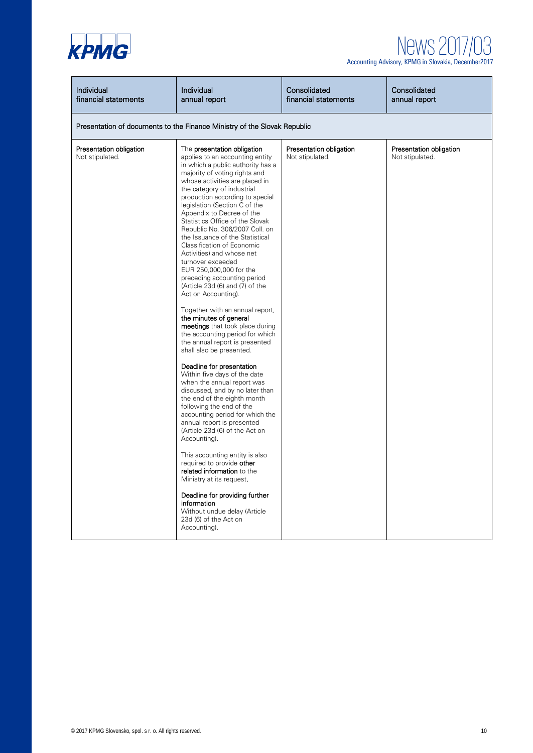

| Individual<br>financial statements                                       | Individual<br>annual report                                                                                                                                                                                                                                                                                                                                                                                                                                                                                                                                                                                                                                                                                                                                                                                                                                                                                                                                                                                                                                                                                                                                                                                                                                                                                                                                                       | Consolidated<br>financial statements       | Consolidated<br>annual report              |
|--------------------------------------------------------------------------|-----------------------------------------------------------------------------------------------------------------------------------------------------------------------------------------------------------------------------------------------------------------------------------------------------------------------------------------------------------------------------------------------------------------------------------------------------------------------------------------------------------------------------------------------------------------------------------------------------------------------------------------------------------------------------------------------------------------------------------------------------------------------------------------------------------------------------------------------------------------------------------------------------------------------------------------------------------------------------------------------------------------------------------------------------------------------------------------------------------------------------------------------------------------------------------------------------------------------------------------------------------------------------------------------------------------------------------------------------------------------------------|--------------------------------------------|--------------------------------------------|
| Presentation of documents to the Finance Ministry of the Slovak Republic |                                                                                                                                                                                                                                                                                                                                                                                                                                                                                                                                                                                                                                                                                                                                                                                                                                                                                                                                                                                                                                                                                                                                                                                                                                                                                                                                                                                   |                                            |                                            |
| Presentation obligation<br>Not stipulated.                               | The presentation obligation<br>applies to an accounting entity<br>in which a public authority has a<br>majority of voting rights and<br>whose activities are placed in<br>the category of industrial<br>production according to special<br>legislation (Section C of the<br>Appendix to Decree of the<br>Statistics Office of the Slovak<br>Republic No. 306/2007 Coll. on<br>the Issuance of the Statistical<br>Classification of Economic<br>Activities) and whose net<br>turnover exceeded<br>EUR 250,000,000 for the<br>preceding accounting period<br>(Article 23d (6) and (7) of the<br>Act on Accounting).<br>Together with an annual report,<br>the minutes of general<br>meetings that took place during<br>the accounting period for which<br>the annual report is presented<br>shall also be presented.<br>Deadline for presentation<br>Within five days of the date<br>when the annual report was<br>discussed, and by no later than<br>the end of the eighth month<br>following the end of the<br>accounting period for which the<br>annual report is presented<br>(Article 23d (6) of the Act on<br>Accounting).<br>This accounting entity is also<br>required to provide other<br>related information to the<br>Ministry at its request.<br>Deadline for providing further<br>information<br>Without undue delay (Article<br>23d (6) of the Act on<br>Accounting). | Presentation obligation<br>Not stipulated. | Presentation obligation<br>Not stipulated. |